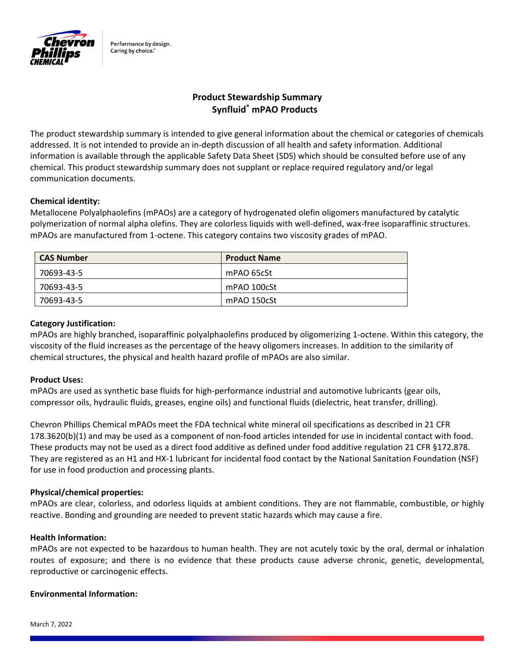

Performance by design. Caring by choice."

# **Product Stewardship Summary Synfluid® mPAO Products**

The product stewardship summary is intended to give general information about the chemical or categories of chemicals addressed. It is not intended to provide an in‐depth discussion of all health and safety information. Additional information is available through the applicable Safety Data Sheet (SDS) which should be consulted before use of any chemical. This product stewardship summary does not supplant or replace required regulatory and/or legal communication documents.

## **Chemical identity:**

Metallocene Polyalphaolefins (mPAOs) are a category of hydrogenated olefin oligomers manufactured by catalytic polymerization of normal alpha olefins. They are colorless liquids with well‐defined, wax‐free isoparaffinic structures. mPAOs are manufactured from 1‐octene. This category contains two viscosity grades of mPAO.

| <b>CAS Number</b> | <b>Product Name</b> |
|-------------------|---------------------|
| 70693-43-5        | mPAO 65cSt          |
| 70693-43-5        | mPAO 100cSt         |
| 70693-43-5        | mPAO 150cSt         |

## **Category Justification:**

mPAOs are highly branched, isoparaffinic polyalphaolefins produced by oligomerizing 1‐octene. Within this category, the viscosity of the fluid increases as the percentage of the heavy oligomers increases. In addition to the similarity of chemical structures, the physical and health hazard profile of mPAOs are also similar.

## **Product Uses:**

mPAOs are used as synthetic base fluids for high‐performance industrial and automotive lubricants (gear oils, compressor oils, hydraulic fluids, greases, engine oils) and functional fluids (dielectric, heat transfer, drilling).

Chevron Phillips Chemical mPAOs meet the FDA technical white mineral oil specifications as described in 21 CFR 178.3620(b)(1) and may be used as a component of non‐food articles intended for use in incidental contact with food. These products may not be used as a direct food additive as defined under food additive regulation 21 CFR §172.878. They are registered as an H1 and HX‐1 lubricant for incidental food contact by the National Sanitation Foundation (NSF) for use in food production and processing plants.

## **Physical/chemical properties:**

mPAOs are clear, colorless, and odorless liquids at ambient conditions. They are not flammable, combustible, or highly reactive. Bonding and grounding are needed to prevent static hazards which may cause a fire.

## **Health Information:**

mPAOs are not expected to be hazardous to human health. They are not acutely toxic by the oral, dermal or inhalation routes of exposure; and there is no evidence that these products cause adverse chronic, genetic, developmental, reproductive or carcinogenic effects.

## **Environmental Information:**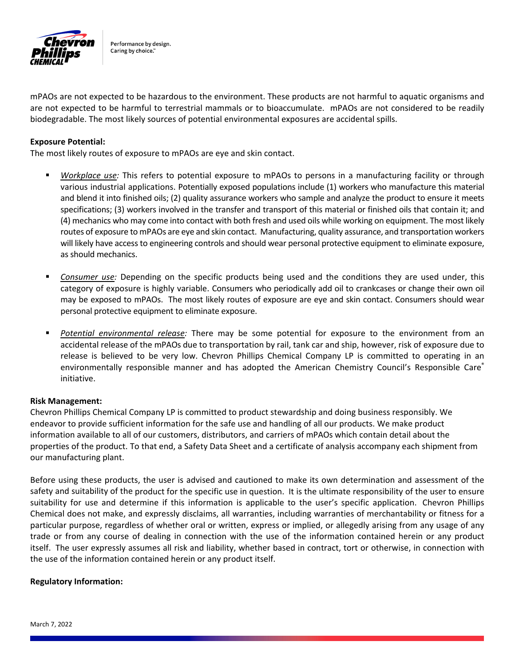

Performance by design. Caring by choice."

mPAOs are not expected to be hazardous to the environment. These products are not harmful to aquatic organisms and are not expected to be harmful to terrestrial mammals or to bioaccumulate. mPAOs are not considered to be readily biodegradable. The most likely sources of potential environmental exposures are accidental spills.

#### **Exposure Potential:**

The most likely routes of exposure to mPAOs are eye and skin contact.

- *Workplace use:* This refers to potential exposure to mPAOs to persons in a manufacturing facility or through various industrial applications. Potentially exposed populations include (1) workers who manufacture this material and blend it into finished oils; (2) quality assurance workers who sample and analyze the product to ensure it meets specifications; (3) workers involved in the transfer and transport of this material or finished oils that contain it; and (4) mechanics who may come into contact with both fresh and used oils while working on equipment. The most likely routes of exposure to mPAOs are eye and skin contact. Manufacturing, quality assurance, and transportation workers will likely have access to engineering controls and should wear personal protective equipment to eliminate exposure, as should mechanics.
- *Consumer use:* Depending on the specific products being used and the conditions they are used under, this category of exposure is highly variable. Consumers who periodically add oil to crankcases or change their own oil may be exposed to mPAOs. The most likely routes of exposure are eye and skin contact. Consumers should wear personal protective equipment to eliminate exposure.
- *Potential environmental release:* There may be some potential for exposure to the environment from an accidental release of the mPAOs due to transportation by rail, tank car and ship, however, risk of exposure due to release is believed to be very low. Chevron Phillips Chemical Company LP is committed to operating in an environmentally responsible manner and has adopted the American Chemistry Council's Responsible Care® initiative.

#### **Risk Management:**

Chevron Phillips Chemical Company LP is committed to product stewardship and doing business responsibly. We endeavor to provide sufficient information for the safe use and handling of all our products. We make product information available to all of our customers, distributors, and carriers of mPAOs which contain detail about the properties of the product. To that end, a Safety Data Sheet and a certificate of analysis accompany each shipment from our manufacturing plant.

Before using these products, the user is advised and cautioned to make its own determination and assessment of the safety and suitability of the product for the specific use in question. It is the ultimate responsibility of the user to ensure suitability for use and determine if this information is applicable to the user's specific application. Chevron Phillips Chemical does not make, and expressly disclaims, all warranties, including warranties of merchantability or fitness for a particular purpose, regardless of whether oral or written, express or implied, or allegedly arising from any usage of any trade or from any course of dealing in connection with the use of the information contained herein or any product itself. The user expressly assumes all risk and liability, whether based in contract, tort or otherwise, in connection with the use of the information contained herein or any product itself.

#### **Regulatory Information:**